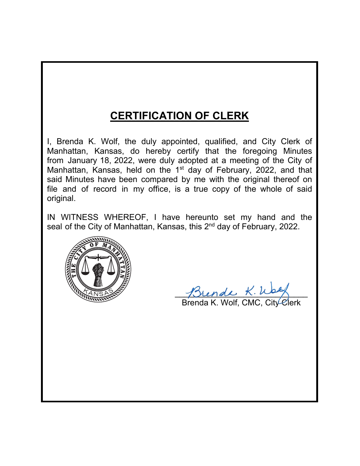# **CERTIFICATION OF CLERK**

I, Brenda K. Wolf, the duly appointed, qualified, and City Clerk of Manhattan, Kansas, do hereby certify that the foregoing Minutes from January 18, 2022, were duly adopted at a meeting of the City of Manhattan, Kansas, held on the 1<sup>st</sup> day of February, 2022, and that said Minutes have been compared by me with the original thereof on file and of record in my office, is a true copy of the whole of said original.

IN WITNESS WHEREOF, I have hereunto set my hand and the seal of the City of Manhattan, Kansas, this 2<sup>nd</sup> day of February, 2022.



 $M$ rende  $K$ . Wag

Brenda K. Wolf, CMC, City Clerk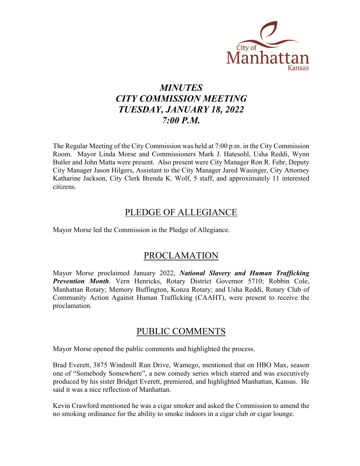

# *MINUTES CITY COMMISSION MEETING TUESDAY, JANUARY 18, 2022 7:00 P.M.*

The Regular Meeting of the City Commission was held at 7:00 p.m. in the City Commission Room. Mayor Linda Morse and Commissioners Mark J. Hatesohl, Usha Reddi, Wynn Butler and John Matta were present. Also present were City Manager Ron R. Fehr, Deputy City Manager Jason Hilgers, Assistant to the City Manager Jared Wasinger, City Attorney Katharine Jackson, City Clerk Brenda K. Wolf, 5 staff, and approximately 11 interested citizens.

### PLEDGE OF ALLEGIANCE

Mayor Morse led the Commission in the Pledge of Allegiance.

## PROCLAMATION

Mayor Morse proclaimed January 2022, *National Slavery and Human Trafficking Prevention Month*. Vern Henricks, Rotary District Governor 5710; Robbin Cole, Manhattan Rotary; Memory Buffington, Konza Rotary; and Usha Reddi, Rotary Club of Community Action Against Human Trafficking (CAAHT), were present to receive the proclamation.

### PUBLIC COMMENTS

Mayor Morse opened the public comments and highlighted the process.

Brad Everett, 3875 Windmill Run Drive, Wamego, mentioned that on HBO Max, season one of "Somebody Somewhere", a new comedy series which starred and was executively produced by his sister Bridget Everett, premiered, and highlighted Manhattan, Kansas. He said it was a nice reflection of Manhattan.

Kevin Crawford mentioned he was a cigar smoker and asked the Commission to amend the no smoking ordinance for the ability to smoke indoors in a cigar club or cigar lounge.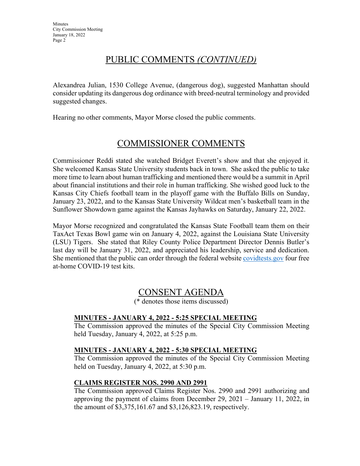# PUBLIC COMMENTS *(CONTINUED)*

Alexandrea Julian, 1530 College Avenue, (dangerous dog), suggested Manhattan should consider updating its dangerous dog ordinance with breed-neutral terminology and provided suggested changes.

Hearing no other comments, Mayor Morse closed the public comments.

# COMMISSIONER COMMENTS

Commissioner Reddi stated she watched Bridget Everett's show and that she enjoyed it. She welcomed Kansas State University students back in town. She asked the public to take more time to learn about human trafficking and mentioned there would be a summit in April about financial institutions and their role in human trafficking. She wished good luck to the Kansas City Chiefs football team in the playoff game with the Buffalo Bills on Sunday, January 23, 2022, and to the Kansas State University Wildcat men's basketball team in the Sunflower Showdown game against the Kansas Jayhawks on Saturday, January 22, 2022.

Mayor Morse recognized and congratulated the Kansas State Football team them on their TaxAct Texas Bowl game win on January 4, 2022, against the Louisiana State University (LSU) Tigers. She stated that Riley County Police Department Director Dennis Butler's last day will be January 31, 2022, and appreciated his leadership, service and dedication. She mentioned that the public can order through the federal website [covidtests.gov f](https://www.covidtests.gov/)our free at-home COVID-19 test kits.

## CONSENT AGENDA

(\* denotes those items discussed)

#### **MINUTES - JANUARY 4, 2022 - 5:25 SPECIAL MEETING**

The Commission approved the minutes of the Special City Commission Meeting held Tuesday, January 4, 2022, at 5:25 p.m.

#### **MINUTES - JANUARY 4, 2022 - 5:30 SPECIAL MEETING**

The Commission approved the minutes of the Special City Commission Meeting held on Tuesday, January 4, 2022, at 5:30 p.m.

#### **CLAIMS REGISTER NOS. 2990 AND 2991**

The Commission approved Claims Register Nos. 2990 and 2991 authorizing and approving the payment of claims from December 29, 2021 – January 11, 2022, in the amount of \$3,375,161.67 and \$3,126,823.19, respectively.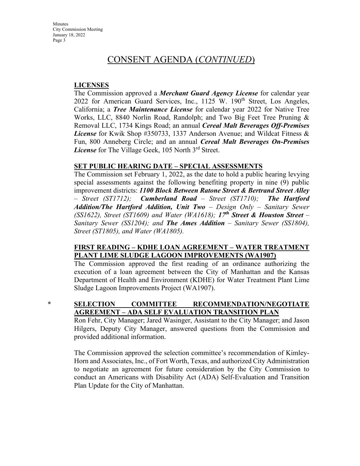**Minutes** City Commission Meeting January 18, 2022 Page 3

### CONSENT AGENDA (*CONTINUED*)

#### **LICENSES**

The Commission approved a *Merchant Guard Agency License* for calendar year 2022 for American Guard Services, Inc., 1125 W. 190<sup>th</sup> Street, Los Angeles, California; a *Tree Maintenance License* for calendar year 2022 for Native Tree Works, LLC, 8840 Norlin Road, Randolph; and Two Big Feet Tree Pruning & Removal LLC, 1734 Kings Road; an annual *Cereal Malt Beverages Off-Premises License* for Kwik Shop #350733, 1337 Anderson Avenue; and Wildcat Fitness & Fun, 800 Anneberg Circle; and an annual *Cereal Malt Beverages On-Premises License* for The Village Geek, 105 North 3<sup>rd</sup> Street.

#### **SET PUBLIC HEARING DATE – SPECIAL ASSESSMENTS**

The Commission set February 1, 2022, as the date to hold a public hearing levying special assessments against the following benefiting property in nine (9) public improvement districts: *1100 Block Between Ratone Street & Bertrand Street Alley – Street (ST1712); Cumberland Road – Street (ST1710); The Hartford Addition/The Hartford Addition, Unit Two – Design Only – Sanitary Sewer (SS1622), Street (ST1609) and Water (WA1618); 17th Street & Houston Street – Sanitary Sewer (SS1204); and The Ames Addition – Sanitary Sewer (SS1804), Street (ST1805), and Water (WA1805).*

#### **FIRST READING – KDHE LOAN AGREEMENT – WATER TREATMENT PLANT LIME SLUDGE LAGOON IMPROVEMENTS (WA1907)**

The Commission approved the first reading of an ordinance authorizing the execution of a loan agreement between the City of Manhattan and the Kansas Department of Health and Environment (KDHE) for Water Treatment Plant Lime Sludge Lagoon Improvements Project (WA1907).

#### \* **SELECTION COMMITTEE RECOMMENDATION/NEGOTIATE AGREEMENT – ADA SELF EVALUATION TRANSITION PLAN**

Ron Fehr, City Manager; Jared Wasinger, Assistant to the City Manager; and Jason Hilgers, Deputy City Manager, answered questions from the Commission and provided additional information.

The Commission approved the selection committee's recommendation of Kimley-Horn and Associates, Inc., of Fort Worth, Texas, and authorized City Administration to negotiate an agreement for future consideration by the City Commission to conduct an Americans with Disability Act (ADA) Self-Evaluation and Transition Plan Update for the City of Manhattan.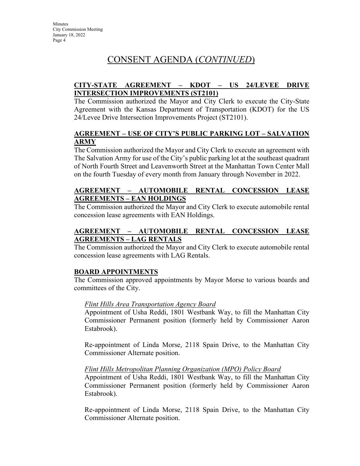# CONSENT AGENDA (*CONTINUED*)

#### **CITY-STATE AGREEMENT – KDOT – US 24/LEVEE DRIVE INTERSECTION IMPROVEMENTS (ST2101)**

The Commission authorized the Mayor and City Clerk to execute the City-State Agreement with the Kansas Department of Transportation (KDOT) for the US 24/Levee Drive Intersection Improvements Project (ST2101).

#### **AGREEMENT – USE OF CITY'S PUBLIC PARKING LOT – SALVATION ARMY**

The Commission authorized the Mayor and City Clerk to execute an agreement with The Salvation Army for use of the City's public parking lot at the southeast quadrant of North Fourth Street and Leavenworth Street at the Manhattan Town Center Mall on the fourth Tuesday of every month from January through November in 2022.

#### **AGREEMENT – AUTOMOBILE RENTAL CONCESSION LEASE AGREEMENTS – EAN HOLDINGS**

The Commission authorized the Mayor and City Clerk to execute automobile rental concession lease agreements with EAN Holdings.

#### **AGREEMENT – AUTOMOBILE RENTAL CONCESSION LEASE AGREEMENTS – LAG RENTALS**

The Commission authorized the Mayor and City Clerk to execute automobile rental concession lease agreements with LAG Rentals.

#### **BOARD APPOINTMENTS**

The Commission approved appointments by Mayor Morse to various boards and committees of the City.

#### *Flint Hills Area Transportation Agency Board*

Appointment of Usha Reddi, 1801 Westbank Way, to fill the Manhattan City Commissioner Permanent position (formerly held by Commissioner Aaron Estabrook).

Re-appointment of Linda Morse, 2118 Spain Drive, to the Manhattan City Commissioner Alternate position.

#### *Flint Hills Metropolitan Planning Organization (MPO) Policy Board*

Appointment of Usha Reddi, 1801 Westbank Way, to fill the Manhattan City Commissioner Permanent position (formerly held by Commissioner Aaron Estabrook).

Re-appointment of Linda Morse, 2118 Spain Drive, to the Manhattan City Commissioner Alternate position.